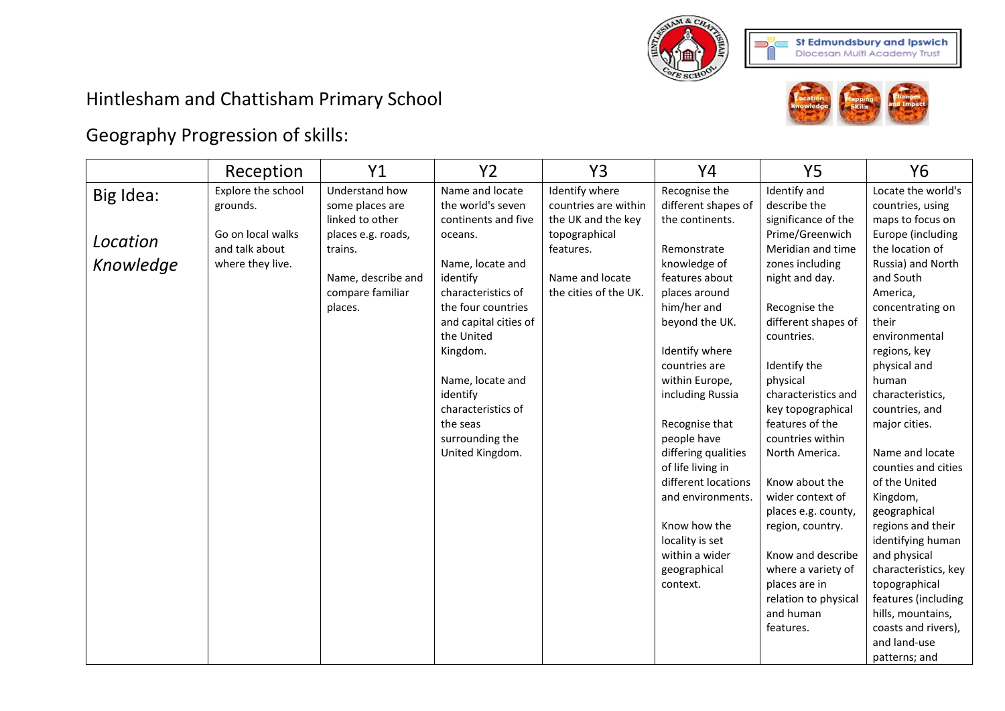

## Hintlesham and Chattisham Primary School



## Geography Progression of skills:

|                                    | Reception                                                                                 | Y1                                                                                                                                         | <b>Y2</b>                                                                                                                                                                                                                                                                                                     | Y3                                                                                                                                     | Y4                                                                                                                                                                                                                                                                                                                                                                                                                                            | <b>Y5</b>                                                                                                                                                                                                                                                                                                                                                                                                                                                                                    | Y <sub>6</sub>                                                                                                                                                                                                                                                                                                                                                                                                                                                                                                  |
|------------------------------------|-------------------------------------------------------------------------------------------|--------------------------------------------------------------------------------------------------------------------------------------------|---------------------------------------------------------------------------------------------------------------------------------------------------------------------------------------------------------------------------------------------------------------------------------------------------------------|----------------------------------------------------------------------------------------------------------------------------------------|-----------------------------------------------------------------------------------------------------------------------------------------------------------------------------------------------------------------------------------------------------------------------------------------------------------------------------------------------------------------------------------------------------------------------------------------------|----------------------------------------------------------------------------------------------------------------------------------------------------------------------------------------------------------------------------------------------------------------------------------------------------------------------------------------------------------------------------------------------------------------------------------------------------------------------------------------------|-----------------------------------------------------------------------------------------------------------------------------------------------------------------------------------------------------------------------------------------------------------------------------------------------------------------------------------------------------------------------------------------------------------------------------------------------------------------------------------------------------------------|
| Big Idea:<br>Location<br>Knowledge | Explore the school<br>grounds.<br>Go on local walks<br>and talk about<br>where they live. | Understand how<br>some places are<br>linked to other<br>places e.g. roads,<br>trains.<br>Name, describe and<br>compare familiar<br>places. | Name and locate<br>the world's seven<br>continents and five<br>oceans.<br>Name, locate and<br>identify<br>characteristics of<br>the four countries<br>and capital cities of<br>the United<br>Kingdom.<br>Name, locate and<br>identify<br>characteristics of<br>the seas<br>surrounding the<br>United Kingdom. | Identify where<br>countries are within<br>the UK and the key<br>topographical<br>features.<br>Name and locate<br>the cities of the UK. | Recognise the<br>different shapes of<br>the continents.<br>Remonstrate<br>knowledge of<br>features about<br>places around<br>him/her and<br>beyond the UK.<br>Identify where<br>countries are<br>within Europe,<br>including Russia<br>Recognise that<br>people have<br>differing qualities<br>of life living in<br>different locations<br>and environments.<br>Know how the<br>locality is set<br>within a wider<br>geographical<br>context. | Identify and<br>describe the<br>significance of the<br>Prime/Greenwich<br>Meridian and time<br>zones including<br>night and day.<br>Recognise the<br>different shapes of<br>countries.<br>Identify the<br>physical<br>characteristics and<br>key topographical<br>features of the<br>countries within<br>North America.<br>Know about the<br>wider context of<br>places e.g. county,<br>region, country.<br>Know and describe<br>where a variety of<br>places are in<br>relation to physical | Locate the world's<br>countries, using<br>maps to focus on<br>Europe (including<br>the location of<br>Russia) and North<br>and South<br>America,<br>concentrating on<br>their<br>environmental<br>regions, key<br>physical and<br>human<br>characteristics,<br>countries, and<br>major cities.<br>Name and locate<br>counties and cities<br>of the United<br>Kingdom,<br>geographical<br>regions and their<br>identifying human<br>and physical<br>characteristics, key<br>topographical<br>features (including |
|                                    |                                                                                           |                                                                                                                                            |                                                                                                                                                                                                                                                                                                               |                                                                                                                                        |                                                                                                                                                                                                                                                                                                                                                                                                                                               | and human<br>features.                                                                                                                                                                                                                                                                                                                                                                                                                                                                       | hills, mountains,<br>coasts and rivers),<br>and land-use                                                                                                                                                                                                                                                                                                                                                                                                                                                        |
|                                    |                                                                                           |                                                                                                                                            |                                                                                                                                                                                                                                                                                                               |                                                                                                                                        |                                                                                                                                                                                                                                                                                                                                                                                                                                               |                                                                                                                                                                                                                                                                                                                                                                                                                                                                                              | patterns; and                                                                                                                                                                                                                                                                                                                                                                                                                                                                                                   |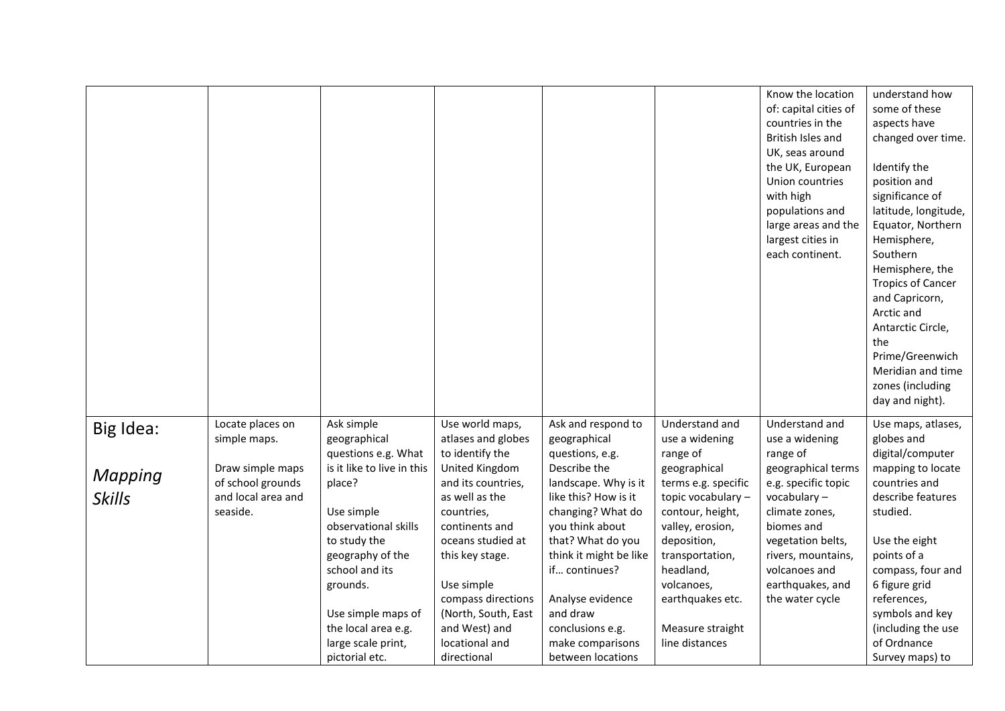|                |                                  |                                                   |                                                          |                                                       |                                              | Know the location<br>of: capital cities of<br>countries in the<br>British Isles and<br>UK, seas around<br>the UK, European<br>Union countries<br>with high<br>populations and<br>large areas and the<br>largest cities in<br>each continent. | understand how<br>some of these<br>aspects have<br>changed over time.<br>Identify the<br>position and<br>significance of<br>latitude, longitude,<br>Equator, Northern<br>Hemisphere,<br>Southern<br>Hemisphere, the<br><b>Tropics of Cancer</b><br>and Capricorn,<br>Arctic and<br>Antarctic Circle,<br>the<br>Prime/Greenwich<br>Meridian and time<br>zones (including<br>day and night). |
|----------------|----------------------------------|---------------------------------------------------|----------------------------------------------------------|-------------------------------------------------------|----------------------------------------------|----------------------------------------------------------------------------------------------------------------------------------------------------------------------------------------------------------------------------------------------|--------------------------------------------------------------------------------------------------------------------------------------------------------------------------------------------------------------------------------------------------------------------------------------------------------------------------------------------------------------------------------------------|
| Big Idea:      | Locate places on<br>simple maps. | Ask simple<br>geographical<br>questions e.g. What | Use world maps,<br>atlases and globes<br>to identify the | Ask and respond to<br>geographical<br>questions, e.g. | Understand and<br>use a widening<br>range of | Understand and<br>use a widening<br>range of                                                                                                                                                                                                 | Use maps, atlases,<br>globes and<br>digital/computer                                                                                                                                                                                                                                                                                                                                       |
|                | Draw simple maps                 | is it like to live in this                        | United Kingdom                                           | Describe the                                          | geographical                                 | geographical terms                                                                                                                                                                                                                           | mapping to locate                                                                                                                                                                                                                                                                                                                                                                          |
| <b>Mapping</b> | of school grounds                | place?                                            | and its countries,                                       | landscape. Why is it                                  | terms e.g. specific                          | e.g. specific topic                                                                                                                                                                                                                          | countries and                                                                                                                                                                                                                                                                                                                                                                              |
| <b>Skills</b>  | and local area and               |                                                   | as well as the                                           | like this? How is it                                  | topic vocabulary -                           | vocabulary-                                                                                                                                                                                                                                  | describe features                                                                                                                                                                                                                                                                                                                                                                          |
|                | seaside.                         | Use simple<br>observational skills                | countries,<br>continents and                             | changing? What do<br>you think about                  | contour, height,<br>valley, erosion,         | climate zones,<br>biomes and                                                                                                                                                                                                                 | studied.                                                                                                                                                                                                                                                                                                                                                                                   |
|                |                                  | to study the                                      | oceans studied at                                        | that? What do you                                     | deposition,                                  | vegetation belts,                                                                                                                                                                                                                            | Use the eight                                                                                                                                                                                                                                                                                                                                                                              |
|                |                                  | geography of the                                  | this key stage.                                          | think it might be like                                | transportation,                              | rivers, mountains,                                                                                                                                                                                                                           | points of a                                                                                                                                                                                                                                                                                                                                                                                |
|                |                                  | school and its                                    |                                                          | if continues?                                         | headland,                                    | volcanoes and                                                                                                                                                                                                                                | compass, four and                                                                                                                                                                                                                                                                                                                                                                          |
|                |                                  | grounds.                                          | Use simple                                               |                                                       | volcanoes,                                   | earthquakes, and                                                                                                                                                                                                                             | 6 figure grid                                                                                                                                                                                                                                                                                                                                                                              |
|                |                                  |                                                   | compass directions                                       | Analyse evidence                                      | earthquakes etc.                             | the water cycle                                                                                                                                                                                                                              | references,                                                                                                                                                                                                                                                                                                                                                                                |
|                |                                  | Use simple maps of                                | (North, South, East                                      | and draw                                              |                                              |                                                                                                                                                                                                                                              | symbols and key                                                                                                                                                                                                                                                                                                                                                                            |
|                |                                  | the local area e.g.                               | and West) and                                            | conclusions e.g.                                      | Measure straight                             |                                                                                                                                                                                                                                              | (including the use                                                                                                                                                                                                                                                                                                                                                                         |
|                |                                  | large scale print,                                | locational and                                           | make comparisons                                      | line distances                               |                                                                                                                                                                                                                                              | of Ordnance                                                                                                                                                                                                                                                                                                                                                                                |
|                |                                  | pictorial etc.                                    | directional                                              | between locations                                     |                                              |                                                                                                                                                                                                                                              | Survey maps) to                                                                                                                                                                                                                                                                                                                                                                            |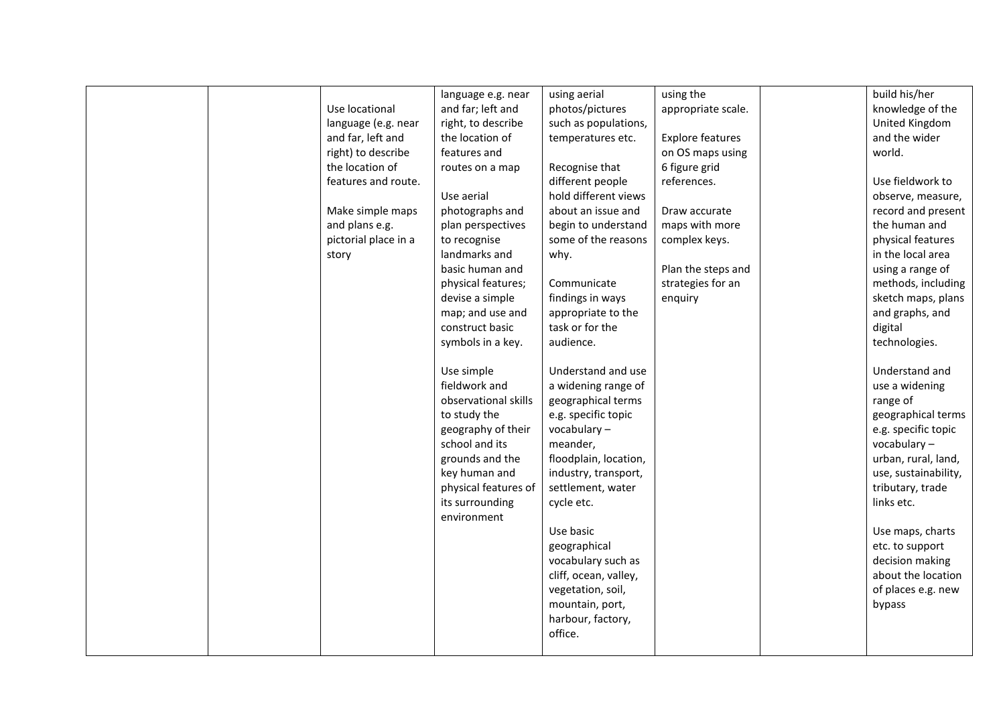|  |                      | language e.g. near   | using aerial          | using the               | build his/her        |
|--|----------------------|----------------------|-----------------------|-------------------------|----------------------|
|  | Use locational       | and far; left and    | photos/pictures       | appropriate scale.      | knowledge of the     |
|  | language (e.g. near  | right, to describe   | such as populations,  |                         | United Kingdom       |
|  | and far, left and    | the location of      | temperatures etc.     | <b>Explore features</b> | and the wider        |
|  | right) to describe   | features and         |                       | on OS maps using        | world.               |
|  | the location of      | routes on a map      | Recognise that        | 6 figure grid           |                      |
|  | features and route.  |                      | different people      | references.             | Use fieldwork to     |
|  |                      | Use aerial           | hold different views  |                         | observe, measure,    |
|  | Make simple maps     | photographs and      | about an issue and    | Draw accurate           | record and present   |
|  | and plans e.g.       | plan perspectives    | begin to understand   | maps with more          | the human and        |
|  | pictorial place in a | to recognise         | some of the reasons   | complex keys.           | physical features    |
|  | story                | landmarks and        | why.                  |                         | in the local area    |
|  |                      | basic human and      |                       | Plan the steps and      | using a range of     |
|  |                      | physical features;   | Communicate           | strategies for an       | methods, including   |
|  |                      | devise a simple      | findings in ways      | enquiry                 | sketch maps, plans   |
|  |                      | map; and use and     | appropriate to the    |                         | and graphs, and      |
|  |                      | construct basic      | task or for the       |                         | digital              |
|  |                      | symbols in a key.    | audience.             |                         | technologies.        |
|  |                      |                      |                       |                         |                      |
|  |                      | Use simple           | Understand and use    |                         | Understand and       |
|  |                      | fieldwork and        | a widening range of   |                         | use a widening       |
|  |                      | observational skills | geographical terms    |                         | range of             |
|  |                      | to study the         | e.g. specific topic   |                         | geographical terms   |
|  |                      | geography of their   | vocabulary-           |                         | e.g. specific topic  |
|  |                      | school and its       | meander,              |                         | vocabulary -         |
|  |                      | grounds and the      | floodplain, location, |                         | urban, rural, land,  |
|  |                      | key human and        | industry, transport,  |                         | use, sustainability, |
|  |                      | physical features of | settlement, water     |                         | tributary, trade     |
|  |                      | its surrounding      | cycle etc.            |                         | links etc.           |
|  |                      | environment          |                       |                         |                      |
|  |                      |                      | Use basic             |                         | Use maps, charts     |
|  |                      |                      | geographical          |                         | etc. to support      |
|  |                      |                      | vocabulary such as    |                         | decision making      |
|  |                      |                      | cliff, ocean, valley, |                         | about the location   |
|  |                      |                      | vegetation, soil,     |                         | of places e.g. new   |
|  |                      |                      | mountain, port,       |                         | bypass               |
|  |                      |                      | harbour, factory,     |                         |                      |
|  |                      |                      | office.               |                         |                      |
|  |                      |                      |                       |                         |                      |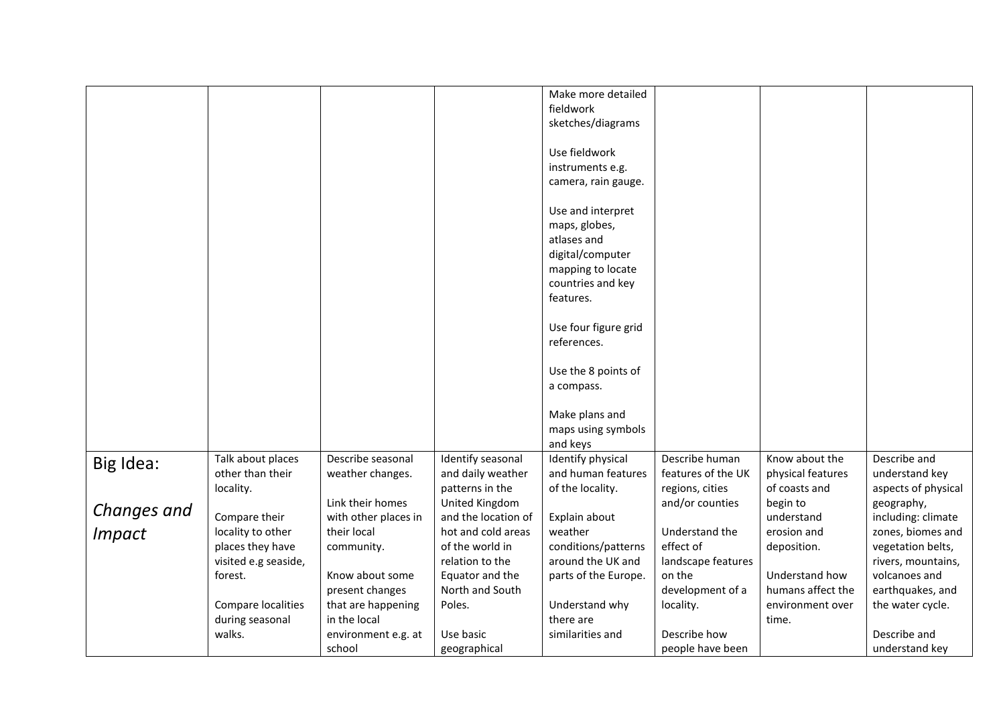|               |                      |                      |                     | Make more detailed   |                    |                   |                     |
|---------------|----------------------|----------------------|---------------------|----------------------|--------------------|-------------------|---------------------|
|               |                      |                      |                     | fieldwork            |                    |                   |                     |
|               |                      |                      |                     | sketches/diagrams    |                    |                   |                     |
|               |                      |                      |                     |                      |                    |                   |                     |
|               |                      |                      |                     | Use fieldwork        |                    |                   |                     |
|               |                      |                      |                     | instruments e.g.     |                    |                   |                     |
|               |                      |                      |                     | camera, rain gauge.  |                    |                   |                     |
|               |                      |                      |                     |                      |                    |                   |                     |
|               |                      |                      |                     | Use and interpret    |                    |                   |                     |
|               |                      |                      |                     | maps, globes,        |                    |                   |                     |
|               |                      |                      |                     | atlases and          |                    |                   |                     |
|               |                      |                      |                     | digital/computer     |                    |                   |                     |
|               |                      |                      |                     | mapping to locate    |                    |                   |                     |
|               |                      |                      |                     | countries and key    |                    |                   |                     |
|               |                      |                      |                     | features.            |                    |                   |                     |
|               |                      |                      |                     |                      |                    |                   |                     |
|               |                      |                      |                     | Use four figure grid |                    |                   |                     |
|               |                      |                      |                     | references.          |                    |                   |                     |
|               |                      |                      |                     |                      |                    |                   |                     |
|               |                      |                      |                     | Use the 8 points of  |                    |                   |                     |
|               |                      |                      |                     | a compass.           |                    |                   |                     |
|               |                      |                      |                     |                      |                    |                   |                     |
|               |                      |                      |                     | Make plans and       |                    |                   |                     |
|               |                      |                      |                     | maps using symbols   |                    |                   |                     |
|               |                      |                      |                     | and keys             |                    |                   |                     |
|               | Talk about places    | Describe seasonal    | Identify seasonal   | Identify physical    | Describe human     | Know about the    | Describe and        |
| Big Idea:     | other than their     | weather changes.     | and daily weather   | and human features   | features of the UK | physical features | understand key      |
|               | locality.            |                      | patterns in the     | of the locality.     | regions, cities    | of coasts and     | aspects of physical |
|               |                      | Link their homes     | United Kingdom      |                      | and/or counties    | begin to          | geography,          |
| Changes and   | Compare their        | with other places in | and the location of | Explain about        |                    | understand        | including: climate  |
|               | locality to other    | their local          | hot and cold areas  | weather              | Understand the     | erosion and       | zones, biomes and   |
| <b>Impact</b> | places they have     | community.           | of the world in     | conditions/patterns  | effect of          | deposition.       | vegetation belts,   |
|               | visited e.g seaside, |                      | relation to the     | around the UK and    | landscape features |                   | rivers, mountains,  |
|               | forest.              | Know about some      | Equator and the     | parts of the Europe. | on the             | Understand how    | volcanoes and       |
|               |                      |                      | North and South     |                      | development of a   | humans affect the | earthquakes, and    |
|               |                      | present changes      |                     |                      |                    |                   |                     |
|               | Compare localities   | that are happening   | Poles.              | Understand why       | locality.          | environment over  | the water cycle.    |
|               | during seasonal      | in the local         |                     | there are            |                    | time.             |                     |
|               | walks.               | environment e.g. at  | Use basic           | similarities and     | Describe how       |                   | Describe and        |
|               |                      | school               | geographical        |                      | people have been   |                   | understand key      |